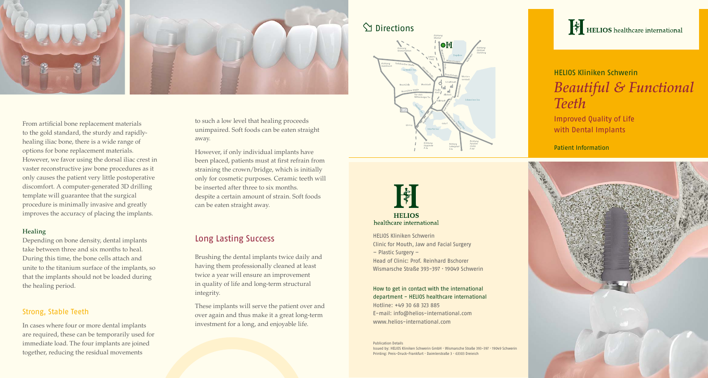

From artificial bone replacement materials to the gold standard, the sturdy and rapidlyhealing iliac bone, there is a wide range of options for bone replacement materials. However, we favor using the dorsal iliac crest in vaster reconstructive jaw bone procedures as it only causes the patient very little postoperative discomfort. A computer-generated 3D drilling template will guarantee that the surgical procedure is minimally invasive and greatly improves the accuracy of placing the implants.

#### Healing

Depending on bone density, dental implants take between three and six months to heal. During this time, the bone cells attach and unite to the titanium surface of the implants, so that the implants should not be loaded during the healing period.

### Strong, Stable Teeth

In cases where four or more dental implants are required, these can be temporarily used for immediate load. The four implants are joined together, reducing the residual movements

to such a low level that healing proceeds unimpaired. Soft foods can be eaten straight away.

However, if only individual implants have been placed, patients must at first refrain from straining the crown/bridge, which is initially only for cosmetic purposes. Ceramic teeth will be inserted after three to six months. despite a certain amount of strain. Soft foods can be eaten straight away.

### Long Lasting Success

Brushing the dental implants twice daily and having them professionally cleaned at least twice a year will ensure an improvement in quality of life and long-term structural integrity.

These implants will serve the patient over and over again and thus make it a great long-term investment for a long, and enjoyable life.

# **Sy** Directions





healthcare international

HELIOS Kliniken Schwerin Clinic for Mouth, Jaw and Facial Surgery – Plastic Surgery – Head of Clinic: Prof. Reinhard Bschorer Wismarsche Straße 393-397 ⋅ 19049 Schwerin

How to get in contact with the international department - HELIOS healthcare international Hotline: +49 30 68 323 885 E-mail: info@helios-international.com www.helios-international.com

Publication Details Issued by: HELIOS Kliniken Schwerin GmbH · Wismarsche Straße 393-397 · 19049 Schwerin Printing: Preis-Druck-Frankfurt · Daimlerstraße 3 ∙ 63303 Dreieich



# HELIOS Kliniken Schwerin *Beautiful & Functional Teeth*

Improved Quality of Life with Dental Implants

### Patient Information